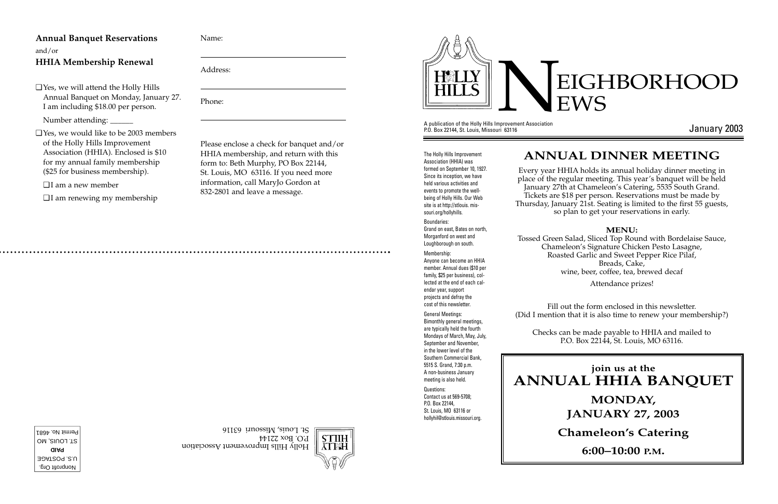A publication of the Holly Hills Improvement Association P.O. Box 22144, St. Louis, Missouri 63116



January 2003

# EIGHBORHOOD EWS

The Holly Hills Improvement Association (HHIA) was formed on September 10, 1927. Since its inception, we have held various activities and events to promote the wellbeing of Holly Hills. Our Web site is at http://stlouis. missouri.org/hollyhills.

Boundaries: Grand on east, Bates on north, Morganford on west and Loughborough on south.

Nonprofit Org. U.S. POSTAGE **PAID** ST. LOUIS, MO Permit No. 4681 Membership: Anyone can become an HHIA member. Annual dues (\$10 per family, \$25 per business), collected at the end of each calendar year, support projects and defray the cost of this newsletter.

General Meetings: Bimonthly general meetings, are typically held the fourth Mondays of March, May, July, September and November, in the lower level of the Southern Commercial Bank, 5515 S. Grand, 7:30 p.m. A non-business January meeting is also held. Questions: Contact us at 569-5708; P.O. Box 22144, St. Louis, MO 63116 or

hollyhil@stlouis.missouri.org.



STIIH

Holly Hills Improvement Association

# **join us at the ANNUAL HHIA BANQUET**

#### **MONDAY,**

**JANUARY 27, 2003**

#### **Chameleon's Catering**

**6:00–10:00 P.M.**

# **ANNUAL DINNER MEETING**

Every year HHIA holds its annual holiday dinner meeting in place of the regular meeting. This year's banquet will be held January 27th at Chameleon's Catering, 5535 South Grand. Tickets are \$18 per person. Reservations must be made by Thursday, January 21st. Seating is limited to the first 55 guests, so plan to get your reservations in early.

#### **MENU:**

Tossed Green Salad, Sliced Top Round with Bordelaise Sauce, Chameleon's Signature Chicken Pesto Lasagne, Roasted Garlic and Sweet Pepper Rice Pilaf, Breads, Cake, wine, beer, coffee, tea, brewed decaf

Attendance prizes!

Fill out the form enclosed in this newsletter. (Did I mention that it is also time to renew your membership?)



Checks can be made payable to HHIA and mailed to P.O. Box 22144, St. Louis, MO 63116.

#### **Annual Banquet Reservations** and/or

#### **HHIA Membership Renewal**

❑ Yes, we will attend the Holly Hills Annual Banquet on Monday, January 27. I am including \$18.00 per person.

Number attending: \_\_\_\_\_\_

❑ Yes, we would like to be 2003 members of the Holly Hills Improvement Association (HHIA). Enclosed is \$10 for my annual family membership (\$25 for business membership).

❑ I am a new member

❑ I am renewing my membership

Name:

Address:

Phone:

Please enclose a check for banquet and/or HHIA membership, and return with this form to: Beth Murphy, PO Box 22144, St. Louis, MO 63116. If you need more information, call MaryJo Gordon at 832-2801 and leave a message.